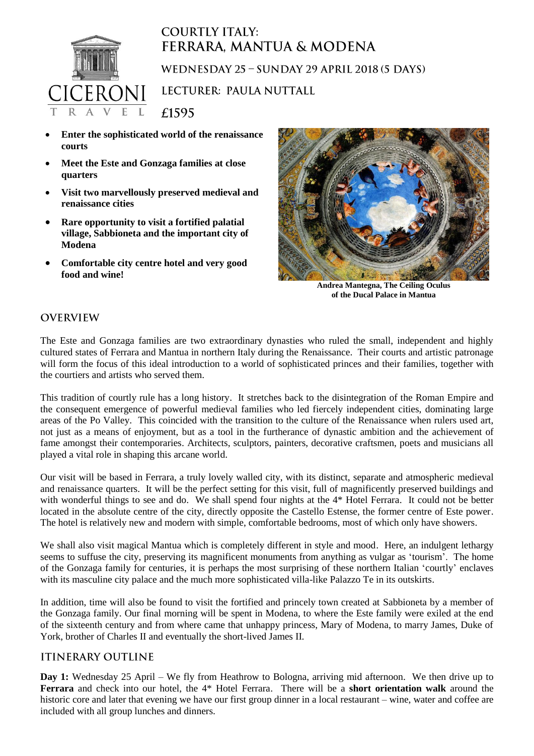

## **COURTLY ITALY:** FERRARA, MANTUA & MODENA WEDNESDAY 25 - SUNDAY 29 APRIL 2018 (5 DAYS) LECTURER: PAULA NUTTALL

 **Enter the sophisticated world of the renaissance courts**

£1595

- **Meet the Este and Gonzaga families at close quarters**
- **Visit two marvellously preserved medieval and renaissance cities**
- **Rare opportunity to visit a fortified palatial village, Sabbioneta and the important city of Modena**
- **Comfortable city centre hotel and very good food and wine!**



**Andrea Mantegna, The Ceiling Oculus of the Ducal Palace in Mantua**

## **OVERVIEW**

The Este and Gonzaga families are two extraordinary dynasties who ruled the small, independent and highly cultured states of Ferrara and Mantua in northern Italy during the Renaissance. Their courts and artistic patronage will form the focus of this ideal introduction to a world of sophisticated princes and their families, together with the courtiers and artists who served them.

This tradition of courtly rule has a long history. It stretches back to the disintegration of the Roman Empire and the consequent emergence of powerful medieval families who led fiercely independent cities, dominating large areas of the Po Valley. This coincided with the transition to the culture of the Renaissance when rulers used art, not just as a means of enjoyment, but as a tool in the furtherance of dynastic ambition and the achievement of fame amongst their contemporaries. Architects, sculptors, painters, decorative craftsmen, poets and musicians all played a vital role in shaping this arcane world.

Our visit will be based in Ferrara, a truly lovely walled city, with its distinct, separate and atmospheric medieval and renaissance quarters. It will be the perfect setting for this visit, full of magnificently preserved buildings and with wonderful things to see and do. We shall spend four nights at the 4\* Hotel Ferrara. It could not be better located in the absolute centre of the city, directly opposite the Castello Estense, the former centre of Este power. The hotel is relatively new and modern with simple, comfortable bedrooms, most of which only have showers.

We shall also visit magical Mantua which is completely different in style and mood. Here, an indulgent lethargy seems to suffuse the city, preserving its magnificent monuments from anything as vulgar as 'tourism'. The home of the Gonzaga family for centuries, it is perhaps the most surprising of these northern Italian 'courtly' enclaves with its masculine city palace and the much more sophisticated villa-like Palazzo Te in its outskirts.

In addition, time will also be found to visit the fortified and princely town created at Sabbioneta by a member of the Gonzaga family. Our final morning will be spent in Modena, to where the Este family were exiled at the end of the sixteenth century and from where came that unhappy princess, Mary of Modena, to marry James, Duke of York, brother of Charles II and eventually the short-lived James II.

## **ITINERARY OUTLINE**

**Day 1:** Wednesday 25 April – We fly from Heathrow to Bologna, arriving mid afternoon. We then drive up to **Ferrara** and check into our hotel, the 4\* Hotel Ferrara. There will be a **short orientation walk** around the historic core and later that evening we have our first group dinner in a local restaurant – wine, water and coffee are included with all group lunches and dinners.